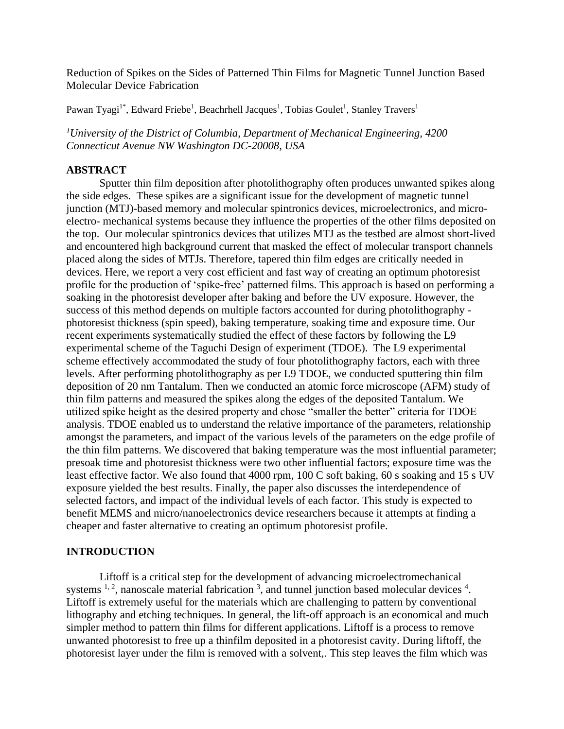Reduction of Spikes on the Sides of Patterned Thin Films for Magnetic Tunnel Junction Based Molecular Device Fabrication

Pawan Tyagi<sup>1\*</sup>, Edward Friebe<sup>1</sup>, Beachrhell Jacques<sup>1</sup>, Tobias Goulet<sup>1</sup>, Stanley Travers<sup>1</sup>

*<sup>1</sup>University of the District of Columbia, Department of Mechanical Engineering, 4200 Connecticut Avenue NW Washington DC-20008, USA*

#### **ABSTRACT**

Sputter thin film deposition after photolithography often produces unwanted spikes along the side edges. These spikes are a significant issue for the development of magnetic tunnel junction (MTJ)-based memory and molecular spintronics devices, microelectronics, and microelectro- mechanical systems because they influence the properties of the other films deposited on the top. Our molecular spintronics devices that utilizes MTJ as the testbed are almost short-lived and encountered high background current that masked the effect of molecular transport channels placed along the sides of MTJs. Therefore, tapered thin film edges are critically needed in devices. Here, we report a very cost efficient and fast way of creating an optimum photoresist profile for the production of 'spike-free' patterned films. This approach is based on performing a soaking in the photoresist developer after baking and before the UV exposure. However, the success of this method depends on multiple factors accounted for during photolithography photoresist thickness (spin speed), baking temperature, soaking time and exposure time. Our recent experiments systematically studied the effect of these factors by following the L9 experimental scheme of the Taguchi Design of experiment (TDOE). The L9 experimental scheme effectively accommodated the study of four photolithography factors, each with three levels. After performing photolithography as per L9 TDOE, we conducted sputtering thin film deposition of 20 nm Tantalum. Then we conducted an atomic force microscope (AFM) study of thin film patterns and measured the spikes along the edges of the deposited Tantalum. We utilized spike height as the desired property and chose "smaller the better" criteria for TDOE analysis. TDOE enabled us to understand the relative importance of the parameters, relationship amongst the parameters, and impact of the various levels of the parameters on the edge profile of the thin film patterns. We discovered that baking temperature was the most influential parameter; presoak time and photoresist thickness were two other influential factors; exposure time was the least effective factor. We also found that 4000 rpm, 100 C soft baking, 60 s soaking and 15 s UV exposure yielded the best results. Finally, the paper also discusses the interdependence of selected factors, and impact of the individual levels of each factor. This study is expected to benefit MEMS and micro/nanoelectronics device researchers because it attempts at finding a cheaper and faster alternative to creating an optimum photoresist profile.

#### **INTRODUCTION**

Liftoff is a critical step for the development of advancing microelectromechanical systems  $1, 2$  $1, 2$ , nanoscale material fabrication  $3$ , and tunnel junction based molecular devices  $4$ . Liftoff is extremely useful for the materials which are challenging to pattern by conventional lithography and etching techniques. In general, the lift-off approach is an economical and much simpler method to pattern thin films for different applications. Liftoff is a process to remove unwanted photoresist to free up a thinfilm deposited in a photoresist cavity. During liftoff, the photoresist layer under the film is removed with a solvent,. This step leaves the film which was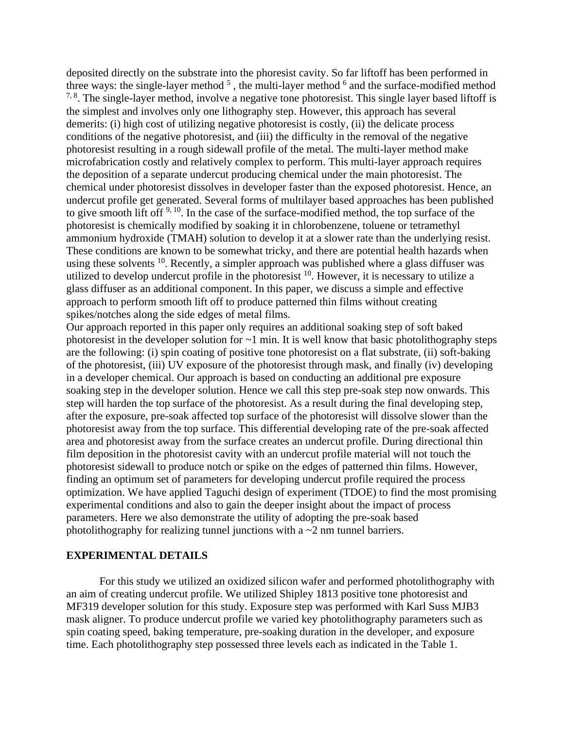deposited directly on the substrate into the phoresist cavity. So far liftoff has been performed in three ways: the single-layer method  $5$ , the multi-layer method  $6$  and the surface-modified method  $7, 8$  $7, 8$ . The single-layer method, involve a negative tone photoresist. This single layer based liftoff is the simplest and involves only one lithography step. However, this approach has several demerits: (i) high cost of utilizing negative photoresist is costly, (ii) the delicate process conditions of the negative photoresist, and (iii) the difficulty in the removal of the negative photoresist resulting in a rough sidewall profile of the metal. The multi-layer method make microfabrication costly and relatively complex to perform. This multi-layer approach requires the deposition of a separate undercut producing chemical under the main photoresist. The chemical under photoresist dissolves in developer faster than the exposed photoresist. Hence, an undercut profile get generated. Several forms of multilayer based approaches has been published to give smooth lift off  $9, 10$  $9, 10$ . In the case of the surface-modified method, the top surface of the photoresist is chemically modified by soaking it in chlorobenzene, toluene or tetramethyl ammonium hydroxide (TMAH) solution to develop it at a slower rate than the underlying resist. These conditions are known to be somewhat tricky, and there are potential health hazards when using these solvents <sup>[10](#page-8-9)</sup>. Recently, a simpler approach was published where a glass diffuser was utilized to develop undercut profile in the photoresist  $10$ . However, it is necessary to utilize a glass diffuser as an additional component. In this paper, we discuss a simple and effective approach to perform smooth lift off to produce patterned thin films without creating spikes/notches along the side edges of metal films.

Our approach reported in this paper only requires an additional soaking step of soft baked photoresist in the developer solution for  $\sim$ 1 min. It is well know that basic photolithography steps are the following: (i) spin coating of positive tone photoresist on a flat substrate, (ii) soft-baking of the photoresist, (iii) UV exposure of the photoresist through mask, and finally (iv) developing in a developer chemical. Our approach is based on conducting an additional pre exposure soaking step in the developer solution. Hence we call this step pre-soak step now onwards. This step will harden the top surface of the photoresist. As a result during the final developing step, after the exposure, pre-soak affected top surface of the photoresist will dissolve slower than the photoresist away from the top surface. This differential developing rate of the pre-soak affected area and photoresist away from the surface creates an undercut profile. During directional thin film deposition in the photoresist cavity with an undercut profile material will not touch the photoresist sidewall to produce notch or spike on the edges of patterned thin films. However, finding an optimum set of parameters for developing undercut profile required the process optimization. We have applied Taguchi design of experiment (TDOE) to find the most promising experimental conditions and also to gain the deeper insight about the impact of process parameters. Here we also demonstrate the utility of adopting the pre-soak based photolithography for realizing tunnel junctions with a  $\sim$  2 nm tunnel barriers.

#### **EXPERIMENTAL DETAILS**

For this study we utilized an oxidized silicon wafer and performed photolithography with an aim of creating undercut profile. We utilized Shipley 1813 positive tone photoresist and MF319 developer solution for this study. Exposure step was performed with Karl Suss MJB3 mask aligner. To produce undercut profile we varied key photolithography parameters such as spin coating speed, baking temperature, pre-soaking duration in the developer, and exposure time. Each photolithography step possessed three levels each as indicated in the Table 1.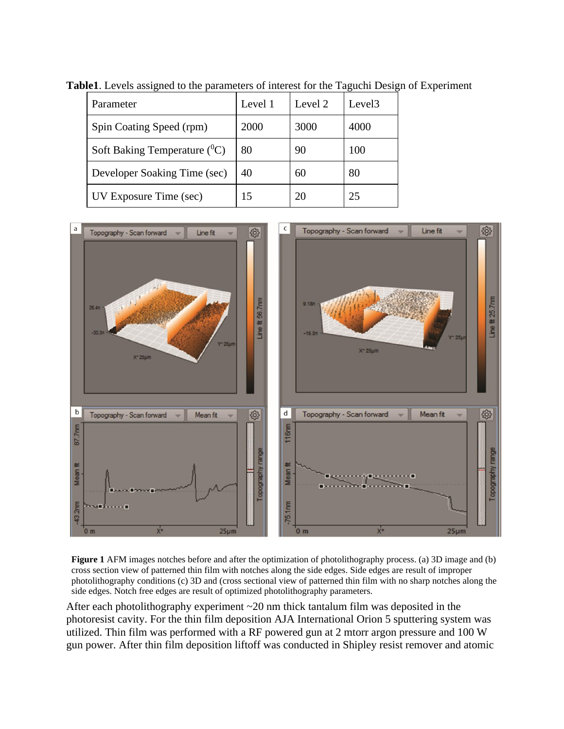| Parameter                       | Level 1 | Level 2 | Level <sub>3</sub> |
|---------------------------------|---------|---------|--------------------|
| Spin Coating Speed (rpm)        | 2000    | 3000    | 4000               |
| Soft Baking Temperature $(^0C)$ | 80      | 90      | 100                |
| Developer Soaking Time (sec)    | 40      | 60      | 80                 |
| UV Exposure Time (sec)          | 15      | 20      | 25                 |

**Table1**. Levels assigned to the parameters of interest for the Taguchi Design of Experiment



**Figure 1** AFM images notches before and after the optimization of photolithography process. (a) 3D image and (b) cross section view of patterned thin film with notches along the side edges. Side edges are result of improper photolithography conditions (c) 3D and (cross sectional view of patterned thin film with no sharp notches along the side edges. Notch free edges are result of optimized photolithography parameters.

After each photolithography experiment ~20 nm thick tantalum film was deposited in the photoresist cavity. For the thin film deposition AJA International Orion 5 sputtering system was utilized. Thin film was performed with a RF powered gun at 2 mtorr argon pressure and 100 W gun power. After thin film deposition liftoff was conducted in Shipley resist remover and atomic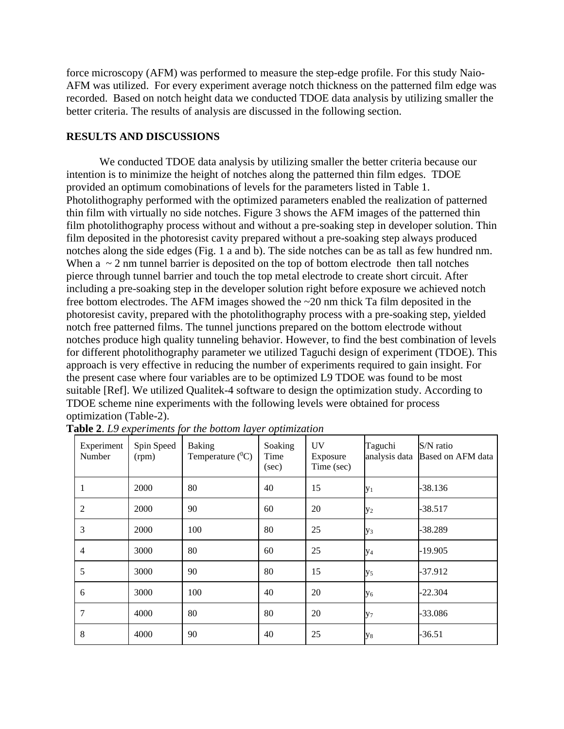force microscopy (AFM) was performed to measure the step-edge profile. For this study Naio-AFM was utilized. For every experiment average notch thickness on the patterned film edge was recorded. Based on notch height data we conducted TDOE data analysis by utilizing smaller the better criteria. The results of analysis are discussed in the following section.

# **RESULTS AND DISCUSSIONS**

We conducted TDOE data analysis by utilizing smaller the better criteria because our intention is to minimize the height of notches along the patterned thin film edges. TDOE provided an optimum comobinations of levels for the parameters listed in Table 1. Photolithography performed with the optimized parameters enabled the realization of patterned thin film with virtually no side notches. Figure 3 shows the AFM images of the patterned thin film photolithography process without and without a pre-soaking step in developer solution. Thin film deposited in the photoresist cavity prepared without a pre-soaking step always produced notches along the side edges (Fig. 1 a and b). The side notches can be as tall as few hundred nm. When  $a \sim 2$  nm tunnel barrier is deposited on the top of bottom electrode then tall notches pierce through tunnel barrier and touch the top metal electrode to create short circuit. After including a pre-soaking step in the developer solution right before exposure we achieved notch free bottom electrodes. The AFM images showed the ~20 nm thick Ta film deposited in the photoresist cavity, prepared with the photolithography process with a pre-soaking step, yielded notch free patterned films. The tunnel junctions prepared on the bottom electrode without notches produce high quality tunneling behavior. However, to find the best combination of levels for different photolithography parameter we utilized Taguchi design of experiment (TDOE). This approach is very effective in reducing the number of experiments required to gain insight. For the present case where four variables are to be optimized L9 TDOE was found to be most suitable [Ref]. We utilized Qualitek-4 software to design the optimization study. According to TDOE scheme nine experiments with the following levels were obtained for process optimization (Table-2).

| Experiment<br>Number | Spin Speed<br>(rpm) | <b>Baking</b><br>Temperature $(^{0}C)$ | Soaking<br>Time<br>(sec) | <b>UV</b><br>Exposure<br>Time (sec) | Taguchi<br>analysis data | S/N ratio<br>Based on AFM data |
|----------------------|---------------------|----------------------------------------|--------------------------|-------------------------------------|--------------------------|--------------------------------|
| 1                    | 2000                | 80                                     | 40                       | 15                                  | $y_1$                    | -38.136                        |
| $\overline{2}$       | 2000                | 90                                     | 60                       | 20                                  | $y_2$                    | $-38.517$                      |
| 3                    | 2000                | 100                                    | 80                       | 25                                  | У <sub>3</sub>           | -38.289                        |
| $\overline{4}$       | 3000                | 80                                     | 60                       | 25                                  | У4                       | $-19.905$                      |
| 5                    | 3000                | 90                                     | 80                       | 15                                  | y <sub>5</sub>           | -37.912                        |
| 6                    | 3000                | 100                                    | 40                       | 20                                  | У6                       | -22.304                        |
| 7                    | 4000                | 80                                     | 80                       | 20                                  | $y_7$                    | -33.086                        |
| 8                    | 4000                | 90                                     | 40                       | 25                                  | $y_8$                    | $-36.51$                       |

**Table 2**. *L9 experiments for the bottom layer optimization*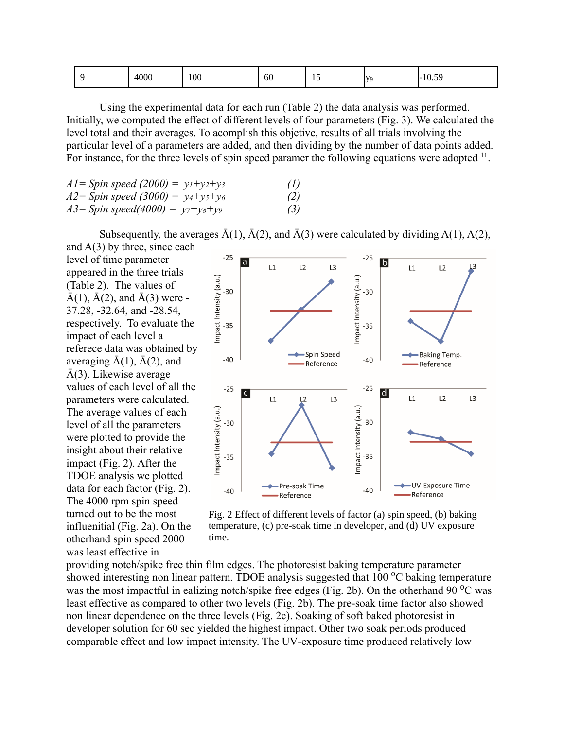| 4000 | 100 | 60 | $\sim$<br>$\overline{1}$ | <b>IV</b> | 10.50<br>$-$<br>10.07 |
|------|-----|----|--------------------------|-----------|-----------------------|
|      |     |    |                          |           |                       |

Using the experimental data for each run (Table 2) the data analysis was performed. Initially, we computed the effect of different levels of four parameters (Fig. 3). We calculated the level total and their averages. To acomplish this objetive, results of all trials involving the particular level of a parameters are added, and then dividing by the number of data points added. For instance, for the three levels of spin speed paramer the following equations were adopted  $11$ .

| $AI = Spin$ speed (2000) = $y_1+y_2+y_3$ | (1) |
|------------------------------------------|-----|
| $A2 = Spin$ speed (3000) = $y_4+y_5+y_6$ | (2) |
| $A3 = Spin speed(4000) = y_7+y_8+y_9$    | (3) |

Subsequently, the averages  $\bar{A}(1)$ ,  $\bar{A}(2)$ , and  $\bar{A}(3)$  were calculated by dividing A(1), A(2),

and  $A(3)$  by three, since each level of time parameter appeared in the three trials (Table 2). The values of  $\bar{A}(1), \bar{A}(2),$  and  $\bar{A}(3)$  were -37.28, -32.64, and -28.54, respectively. To evaluate the impact of each level a referece data was obtained by averaging  $\bar{A}(1)$ ,  $\bar{A}(2)$ , and  $\bar{A}(3)$ . Likewise average values of each level of all the parameters were calculated. The average values of each level of all the parameters were plotted to provide the insight about their relative impact (Fig. 2). After the TDOE analysis we plotted data for each factor (Fig. 2). The 4000 rpm spin speed turned out to be the most influenitial (Fig. 2a). On the otherhand spin speed 2000 was least effective in



Fig. 2 Effect of different levels of factor (a) spin speed, (b) baking temperature, (c) pre-soak time in developer, and (d) UV exposure time.

providing notch/spike free thin film edges. The photoresist baking temperature parameter showed interesting non linear pattern. TDOE analysis suggested that  $100<sup>o</sup>C$  baking temperature was the most impactful in ealizing notch/spike free edges (Fig. 2b). On the otherhand  $90^{\circ}$ C was least effective as compared to other two levels (Fig. 2b). The pre-soak time factor also showed non linear dependence on the three levels (Fig. 2c). Soaking of soft baked photoresist in developer solution for 60 sec yielded the highest impact. Other two soak periods produced comparable effect and low impact intensity. The UV-exposure time produced relatively low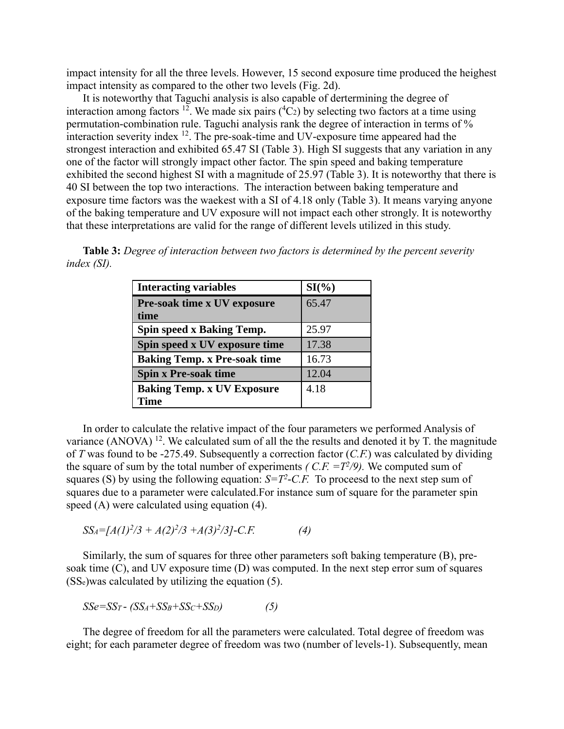impact intensity for all the three levels. However, 15 second exposure time produced the heighest impact intensity as compared to the other two levels (Fig. 2d).

It is noteworthy that Taguchi analysis is also capable of dertermining the degree of interaction among factors <sup>[12](#page-8-11)</sup>. We made six pairs  $({}^{4}C_{2})$  by selecting two factors at a time using permutation-combination rule. Taguchi analysis rank the degree of interaction in terms of % interaction severity index  $12$ . The pre-soak-time and UV-exposure time appeared had the strongest interaction and exhibited 65.47 SI (Table 3). High SI suggests that any variation in any one of the factor will strongly impact other factor. The spin speed and baking temperature exhibited the second highest SI with a magnitude of 25.97 (Table 3). It is noteworthy that there is 40 SI between the top two interactions. The interaction between baking temperature and exposure time factors was the waekest with a SI of 4.18 only (Table 3). It means varying anyone of the baking temperature and UV exposure will not impact each other strongly. It is noteworthy that these interpretations are valid for the range of different levels utilized in this study.

**Table 3:** *Degree of interaction between two factors is determined by the percent severity index (SI).*

| <b>Interacting variables</b>        | $SI(\%)$ |
|-------------------------------------|----------|
| Pre-soak time x UV exposure         | 65.47    |
| time                                |          |
| Spin speed x Baking Temp.           | 25.97    |
| Spin speed x UV exposure time       | 17.38    |
| <b>Baking Temp. x Pre-soak time</b> | 16.73    |
| <b>Spin x Pre-soak time</b>         | 12.04    |
| <b>Baking Temp. x UV Exposure</b>   | 4.18     |
| <b>Time</b>                         |          |

In order to calculate the relative impact of the four parameters we performed Analysis of variance (ANOVA)  $^{12}$  $^{12}$  $^{12}$ . We calculated sum of all the the results and denoted it by T. the magnitude of *T* was found to be -275.49. Subsequently a correction factor (*C.F.*) was calculated by dividing the square of sum by the total number of experiments *(C.F.*  $=T^2/9$ *)*. We computed sum of squares (S) by using the following equation:  $S = T^2$ -C.F. To proceesd to the next step sum of squares due to a parameter were calculated.For instance sum of square for the parameter spin speed (A) were calculated using equation (4).

$$
SS_A = [A(1)^2/3 + A(2)^2/3 + A(3)^2/3] - C.F.
$$
 (4)

Similarly, the sum of squares for three other parameters soft baking temperature (B), presoak time (C), and UV exposure time (D) was computed. In the next step error sum of squares  $(SS_e)$ was calculated by utilizing the equation (5).

$$
SSe = SS_T - (SS_A + SS_B + SS_C + SS_D)
$$
 (5)

The degree of freedom for all the parameters were calculated. Total degree of freedom was eight; for each parameter degree of freedom was two (number of levels-1). Subsequently, mean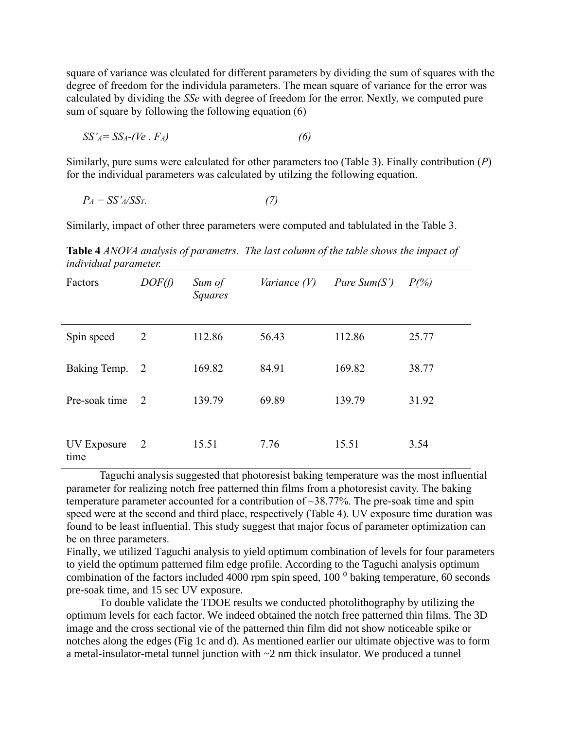square of variance was clculated for different parameters by dividing the sum of squares with the degree of freedom for the individula parameters. The mean square of variance for the error was calculated by dividing the *SSe* with degree of freedom for the error. Nextly, we computed pure sum of square by following the following equation (6)

$$
SS'_{A} = SS_{A}-(Ve \cdot Fa) \tag{6}
$$

Similarly, pure sums were calculated for other parameters too (Table 3). Finally contribution (*P*) for the individual parameters was calculated by utilzing the following equation.

$$
P_A = SS'A/SST. \tag{7}
$$

Similarly, impact of other three parameters were computed and tablulated in the Table 3.

**Table 4** *ANOVA analysis of parametrs. The last column of the table shows the impact of individual parameter.* 

| Factors             | DOF(f)       | Sum of<br>Squares | <i>Variance</i> $(V)$ | <i>Pure Sum(S')</i> | $P(\% )$ |
|---------------------|--------------|-------------------|-----------------------|---------------------|----------|
| Spin speed          | 2            | 112.86            | 56.43                 | 112.86              | 25.77    |
| Baking Temp.        | <sup>2</sup> | 169.82            | 84.91                 | 169.82              | 38.77    |
| Pre-soak time       | 2            | 139.79            | 69.89                 | 139.79              | 31.92    |
| UV Exposure<br>time | <sup>2</sup> | 15.51             | 7.76                  | 15.51               | 3.54     |

Taguchi analysis suggested that photoresist baking temperature was the most influential parameter for realizing notch free patterned thin films from a photoresist cavity. The baking temperature parameter accounted for a contribution of ~38.77%. The pre-soak time and spin speed were at the second and third place, respectively (Table 4). UV exposure time duration was found to be least influential. This study suggest that major focus of parameter optimization can be on three parameters.

Finally, we utilized Taguchi analysis to yield optimum combination of levels for four parameters to yield the optimum patterned film edge profile. According to the Taguchi analysis optimum combination of the factors included 4000 rpm spin speed,  $100<sup>o</sup>$  baking temperature, 60 seconds pre-soak time, and 15 sec UV exposure.

To double validate the TDOE results we conducted photolithography by utilizing the optimum levels for each factor. We indeed obtained the notch free patterned thin films. The 3D image and the cross sectional vie of the patterned thin film did not show noticeable spike or notches along the edges (Fig 1c and d). As mentioned earlier our ultimate objective was to form a metal-insulator-metal tunnel junction with ~2 nm thick insulator. We produced a tunnel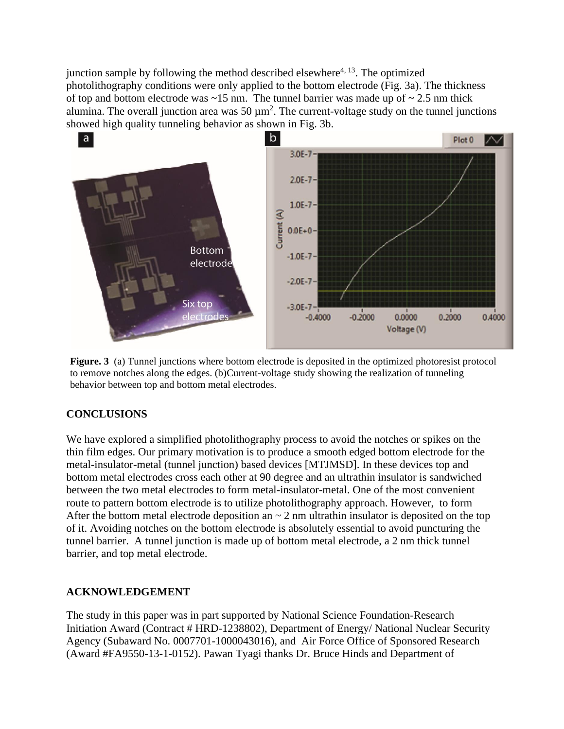junction sample by following the method described elsewhere<sup>[4,](#page-8-3) [13](#page-8-12)</sup>. The optimized photolithography conditions were only applied to the bottom electrode (Fig. 3a). The thickness of top and bottom electrode was  $\sim$ 15 nm. The tunnel barrier was made up of  $\sim$  2.5 nm thick alumina. The overall junction area was  $50 \mu m^2$ . The current-voltage study on the tunnel junctions showed high quality tunneling behavior as shown in Fig. 3b.



**Figure. 3** (a) Tunnel junctions where bottom electrode is deposited in the optimized photoresist protocol to remove notches along the edges. (b)Current-voltage study showing the realization of tunneling behavior between top and bottom metal electrodes.

# **CONCLUSIONS**

We have explored a simplified photolithography process to avoid the notches or spikes on the thin film edges. Our primary motivation is to produce a smooth edged bottom electrode for the metal-insulator-metal (tunnel junction) based devices [MTJMSD]. In these devices top and bottom metal electrodes cross each other at 90 degree and an ultrathin insulator is sandwiched between the two metal electrodes to form metal-insulator-metal. One of the most convenient route to pattern bottom electrode is to utilize photolithography approach. However, to form After the bottom metal electrode deposition an  $\sim$  2 nm ultrathin insulator is deposited on the top of it. Avoiding notches on the bottom electrode is absolutely essential to avoid puncturing the tunnel barrier. A tunnel junction is made up of bottom metal electrode, a 2 nm thick tunnel barrier, and top metal electrode.

# **ACKNOWLEDGEMENT**

The study in this paper was in part supported by National Science Foundation-Research Initiation Award (Contract # HRD-1238802), Department of Energy/ National Nuclear Security Agency (Subaward No. 0007701-1000043016), and Air Force Office of Sponsored Research (Award #FA9550-13-1-0152). Pawan Tyagi thanks Dr. Bruce Hinds and Department of